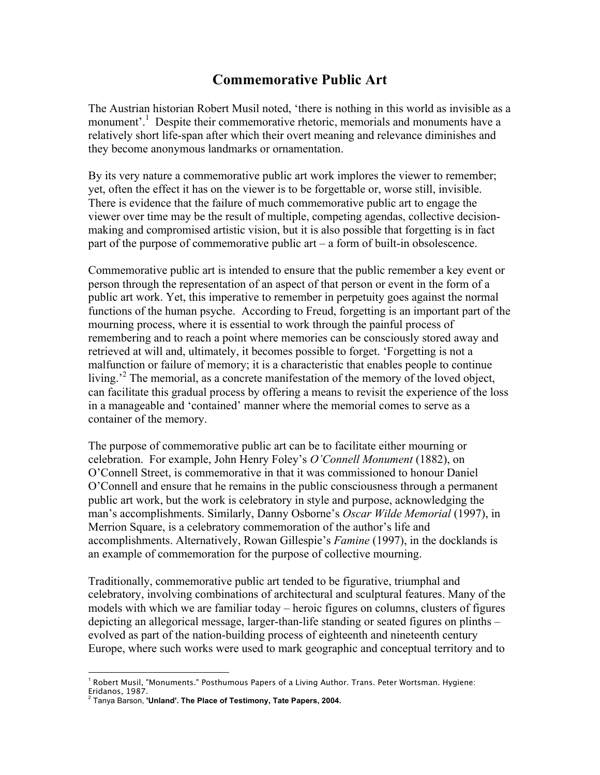## **Commemorative Public Art**

The Austrian historian Robert Musil noted, 'there is nothing in this world as invisible as a monument'.<sup>1</sup> Despite their commemorative rhetoric, memorials and monuments have a relatively short life-span after which their overt meaning and relevance diminishes and they become anonymous landmarks or ornamentation.

By its very nature a commemorative public art work implores the viewer to remember; yet, often the effect it has on the viewer is to be forgettable or, worse still, invisible. There is evidence that the failure of much commemorative public art to engage the viewer over time may be the result of multiple, competing agendas, collective decisionmaking and compromised artistic vision, but it is also possible that forgetting is in fact part of the purpose of commemorative public art – a form of built-in obsolescence.

Commemorative public art is intended to ensure that the public remember a key event or person through the representation of an aspect of that person or event in the form of a public art work. Yet, this imperative to remember in perpetuity goes against the normal functions of the human psyche. According to Freud, forgetting is an important part of the mourning process, where it is essential to work through the painful process of remembering and to reach a point where memories can be consciously stored away and retrieved at will and, ultimately, it becomes possible to forget. 'Forgetting is not a malfunction or failure of memory; it is a characteristic that enables people to continue living.<sup>2</sup> The memorial, as a concrete manifestation of the memory of the loved object, can facilitate this gradual process by offering a means to revisit the experience of the loss in a manageable and 'contained' manner where the memorial comes to serve as a container of the memory.

The purpose of commemorative public art can be to facilitate either mourning or celebration. For example, John Henry Foley's *O'Connell Monument* (1882), on O'Connell Street, is commemorative in that it was commissioned to honour Daniel O'Connell and ensure that he remains in the public consciousness through a permanent public art work, but the work is celebratory in style and purpose, acknowledging the man's accomplishments. Similarly, Danny Osborne's *Oscar Wilde Memorial* (1997), in Merrion Square, is a celebratory commemoration of the author's life and accomplishments. Alternatively, Rowan Gillespie's *Famine* (1997), in the docklands is an example of commemoration for the purpose of collective mourning.

Traditionally, commemorative public art tended to be figurative, triumphal and celebratory, involving combinations of architectural and sculptural features. Many of the models with which we are familiar today – heroic figures on columns, clusters of figures depicting an allegorical message, larger-than-life standing or seated figures on plinths – evolved as part of the nation-building process of eighteenth and nineteenth century Europe, where such works were used to mark geographic and conceptual territory and to

 $\overline{a}$ <sup>1</sup> Robert Musil, "Monuments." Posthumous Papers of a Living Author. Trans. Peter Wortsman. Hygiene: Eridanos, 1987.

<sup>2</sup> Tanya Barson, **'Unland'. The Place of Testimony, Tate Papers, 2004.**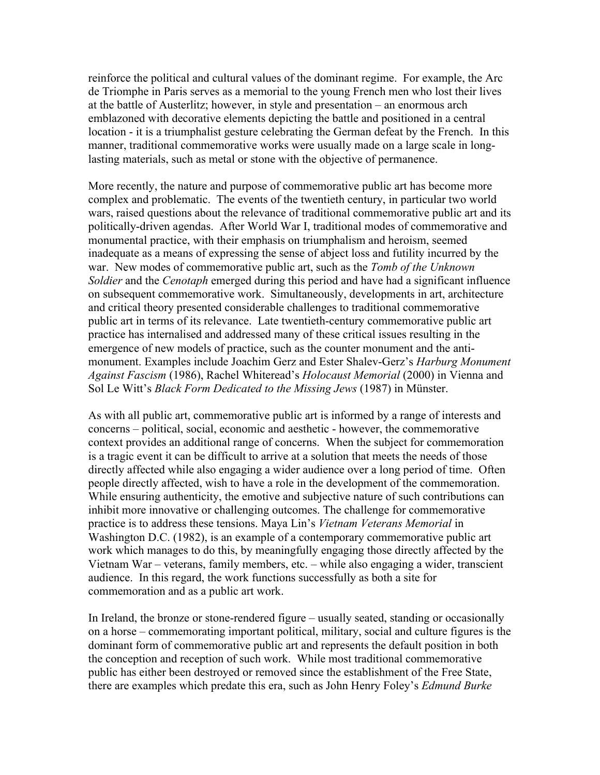reinforce the political and cultural values of the dominant regime. For example, the Arc de Triomphe in Paris serves as a memorial to the young French men who lost their lives at the battle of Austerlitz; however, in style and presentation – an enormous arch emblazoned with decorative elements depicting the battle and positioned in a central location - it is a triumphalist gesture celebrating the German defeat by the French. In this manner, traditional commemorative works were usually made on a large scale in longlasting materials, such as metal or stone with the objective of permanence.

More recently, the nature and purpose of commemorative public art has become more complex and problematic. The events of the twentieth century, in particular two world wars, raised questions about the relevance of traditional commemorative public art and its politically-driven agendas. After World War I, traditional modes of commemorative and monumental practice, with their emphasis on triumphalism and heroism, seemed inadequate as a means of expressing the sense of abject loss and futility incurred by the war. New modes of commemorative public art, such as the *Tomb of the Unknown Soldier* and the *Cenotaph* emerged during this period and have had a significant influence on subsequent commemorative work. Simultaneously, developments in art, architecture and critical theory presented considerable challenges to traditional commemorative public art in terms of its relevance. Late twentieth-century commemorative public art practice has internalised and addressed many of these critical issues resulting in the emergence of new models of practice, such as the counter monument and the antimonument. Examples include Joachim Gerz and Ester Shalev-Gerz's *Harburg Monument Against Fascism* (1986), Rachel Whiteread's *Holocaust Memorial* (2000) in Vienna and Sol Le Witt's *Black Form Dedicated to the Missing Jews* (1987) in Münster.

As with all public art, commemorative public art is informed by a range of interests and concerns – political, social, economic and aesthetic - however, the commemorative context provides an additional range of concerns. When the subject for commemoration is a tragic event it can be difficult to arrive at a solution that meets the needs of those directly affected while also engaging a wider audience over a long period of time. Often people directly affected, wish to have a role in the development of the commemoration. While ensuring authenticity, the emotive and subjective nature of such contributions can inhibit more innovative or challenging outcomes. The challenge for commemorative practice is to address these tensions. Maya Lin's *Vietnam Veterans Memorial* in Washington D.C. (1982), is an example of a contemporary commemorative public art work which manages to do this, by meaningfully engaging those directly affected by the Vietnam War – veterans, family members, etc. – while also engaging a wider, transcient audience. In this regard, the work functions successfully as both a site for commemoration and as a public art work.

In Ireland, the bronze or stone-rendered figure – usually seated, standing or occasionally on a horse – commemorating important political, military, social and culture figures is the dominant form of commemorative public art and represents the default position in both the conception and reception of such work. While most traditional commemorative public has either been destroyed or removed since the establishment of the Free State, there are examples which predate this era, such as John Henry Foley's *Edmund Burke*